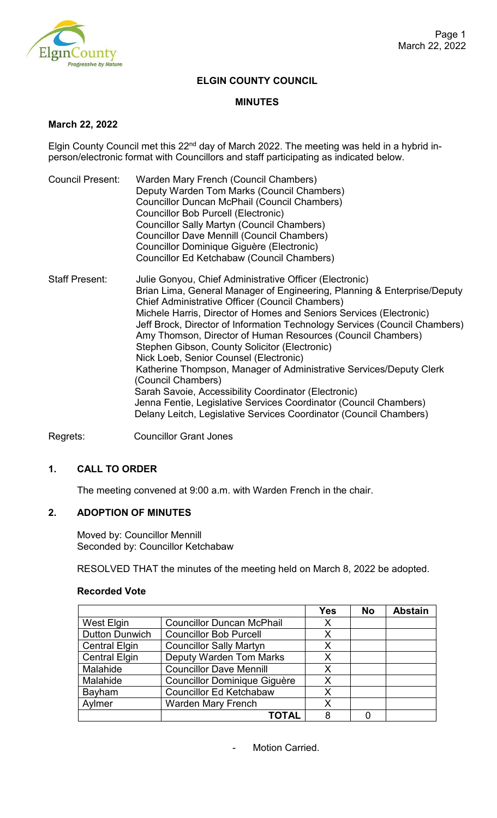

# **ELGIN COUNTY COUNCIL**

#### **MINUTES**

## **March 22, 2022**

Elgin County Council met this 22<sup>nd</sup> day of March 2022. The meeting was held in a hybrid inperson/electronic format with Councillors and staff participating as indicated below.

| Council Present:      | Warden Mary French (Council Chambers)<br>Deputy Warden Tom Marks (Council Chambers)<br><b>Councillor Duncan McPhail (Council Chambers)</b><br>Councillor Bob Purcell (Electronic)<br><b>Councillor Sally Martyn (Council Chambers)</b><br><b>Councillor Dave Mennill (Council Chambers)</b><br>Councillor Dominique Giguère (Electronic)<br>Councillor Ed Ketchabaw (Council Chambers)                                                                                                                                                                                                                                                                                                                                                                                                                       |
|-----------------------|--------------------------------------------------------------------------------------------------------------------------------------------------------------------------------------------------------------------------------------------------------------------------------------------------------------------------------------------------------------------------------------------------------------------------------------------------------------------------------------------------------------------------------------------------------------------------------------------------------------------------------------------------------------------------------------------------------------------------------------------------------------------------------------------------------------|
| <b>Staff Present:</b> | Julie Gonyou, Chief Administrative Officer (Electronic)<br>Brian Lima, General Manager of Engineering, Planning & Enterprise/Deputy<br><b>Chief Administrative Officer (Council Chambers)</b><br>Michele Harris, Director of Homes and Seniors Services (Electronic)<br>Jeff Brock, Director of Information Technology Services (Council Chambers)<br>Amy Thomson, Director of Human Resources (Council Chambers)<br>Stephen Gibson, County Solicitor (Electronic)<br>Nick Loeb, Senior Counsel (Electronic)<br>Katherine Thompson, Manager of Administrative Services/Deputy Clerk<br>(Council Chambers)<br>Sarah Savoie, Accessibility Coordinator (Electronic)<br>Jenna Fentie, Legislative Services Coordinator (Council Chambers)<br>Delany Leitch, Legislative Services Coordinator (Council Chambers) |

Regrets: Councillor Grant Jones

## **1. CALL TO ORDER**

The meeting convened at 9:00 a.m. with Warden French in the chair.

# **2. ADOPTION OF MINUTES**

Moved by: Councillor Mennill Seconded by: Councillor Ketchabaw

RESOLVED THAT the minutes of the meeting held on March 8, 2022 be adopted.

|                       |                                     | <b>Yes</b> | <b>No</b> | <b>Abstain</b> |
|-----------------------|-------------------------------------|------------|-----------|----------------|
| West Elgin            | <b>Councillor Duncan McPhail</b>    | X          |           |                |
| <b>Dutton Dunwich</b> | <b>Councillor Bob Purcell</b>       | X          |           |                |
| <b>Central Elgin</b>  | <b>Councillor Sally Martyn</b>      | X          |           |                |
| <b>Central Elgin</b>  | <b>Deputy Warden Tom Marks</b>      | X          |           |                |
| Malahide              | <b>Councillor Dave Mennill</b>      | X          |           |                |
| Malahide              | <b>Councillor Dominique Giguère</b> | X          |           |                |
| Bayham                | <b>Councillor Ed Ketchabaw</b>      | X          |           |                |
| Aylmer                | <b>Warden Mary French</b>           | X          |           |                |
|                       | TOTAL                               | 8          |           |                |

#### **Recorded Vote**

- Motion Carried.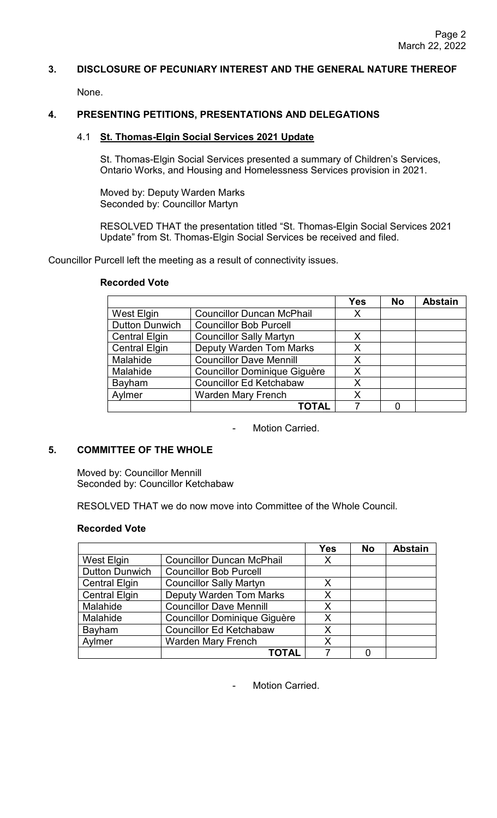# **3. DISCLOSURE OF PECUNIARY INTEREST AND THE GENERAL NATURE THEREOF**

None.

# **4. PRESENTING PETITIONS, PRESENTATIONS AND DELEGATIONS**

## 4.1 **St. Thomas-Elgin Social Services 2021 Update**

St. Thomas-Elgin Social Services presented a summary of Children's Services, Ontario Works, and Housing and Homelessness Services provision in 2021.

Moved by: Deputy Warden Marks Seconded by: Councillor Martyn

RESOLVED THAT the presentation titled "St. Thomas-Elgin Social Services 2021 Update" from St. Thomas-Elgin Social Services be received and filed.

Councillor Purcell left the meeting as a result of connectivity issues.

|                       |                                     | <b>Yes</b> | <b>No</b> | <b>Abstain</b> |
|-----------------------|-------------------------------------|------------|-----------|----------------|
| West Elgin            | <b>Councillor Duncan McPhail</b>    | X          |           |                |
| <b>Dutton Dunwich</b> | <b>Councillor Bob Purcell</b>       |            |           |                |
| <b>Central Elgin</b>  | <b>Councillor Sally Martyn</b>      | Х          |           |                |
| <b>Central Elgin</b>  | <b>Deputy Warden Tom Marks</b>      | X          |           |                |
| Malahide              | <b>Councillor Dave Mennill</b>      | X          |           |                |
| Malahide              | <b>Councillor Dominique Giguère</b> | X          |           |                |
| Bayham                | <b>Councillor Ed Ketchabaw</b>      | X          |           |                |
| Aylmer                | <b>Warden Mary French</b>           | X          |           |                |
|                       | ΤΟΤΑL                               |            |           |                |

#### **Recorded Vote**

Motion Carried.

# **5. COMMITTEE OF THE WHOLE**

Moved by: Councillor Mennill Seconded by: Councillor Ketchabaw

RESOLVED THAT we do now move into Committee of the Whole Council.

#### **Recorded Vote**

|                       |                                     | <b>Yes</b> | <b>No</b> | <b>Abstain</b> |
|-----------------------|-------------------------------------|------------|-----------|----------------|
| <b>West Elgin</b>     | <b>Councillor Duncan McPhail</b>    | X          |           |                |
| <b>Dutton Dunwich</b> | <b>Councillor Bob Purcell</b>       |            |           |                |
| <b>Central Elgin</b>  | <b>Councillor Sally Martyn</b>      | Х          |           |                |
| <b>Central Elgin</b>  | <b>Deputy Warden Tom Marks</b>      | X          |           |                |
| Malahide              | <b>Councillor Dave Mennill</b>      | X          |           |                |
| Malahide              | <b>Councillor Dominique Giguère</b> | X          |           |                |
| Bayham                | <b>Councillor Ed Ketchabaw</b>      | Χ          |           |                |
| Aylmer                | <b>Warden Mary French</b>           | Χ          |           |                |
|                       | <b>TOTAL</b>                        |            |           |                |

Motion Carried.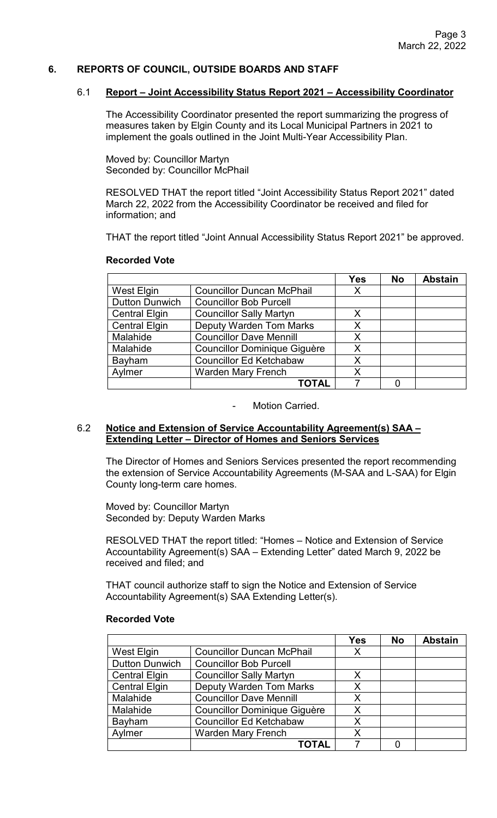## **6. REPORTS OF COUNCIL, OUTSIDE BOARDS AND STAFF**

## 6.1 **Report – Joint Accessibility Status Report 2021 – Accessibility Coordinator**

The Accessibility Coordinator presented the report summarizing the progress of measures taken by Elgin County and its Local Municipal Partners in 2021 to implement the goals outlined in the Joint Multi-Year Accessibility Plan.

Moved by: Councillor Martyn Seconded by: Councillor McPhail

RESOLVED THAT the report titled "Joint Accessibility Status Report 2021" dated March 22, 2022 from the Accessibility Coordinator be received and filed for information; and

THAT the report titled "Joint Annual Accessibility Status Report 2021" be approved.

#### **Recorded Vote**

|                       |                                     | <b>Yes</b> | <b>No</b> | <b>Abstain</b> |
|-----------------------|-------------------------------------|------------|-----------|----------------|
| West Elgin            | <b>Councillor Duncan McPhail</b>    | X          |           |                |
| <b>Dutton Dunwich</b> | <b>Councillor Bob Purcell</b>       |            |           |                |
| <b>Central Elgin</b>  | <b>Councillor Sally Martyn</b>      | X          |           |                |
| <b>Central Elgin</b>  | <b>Deputy Warden Tom Marks</b>      | Х          |           |                |
| Malahide              | <b>Councillor Dave Mennill</b>      | X          |           |                |
| Malahide              | <b>Councillor Dominique Giguère</b> | X          |           |                |
| Bayham                | <b>Councillor Ed Ketchabaw</b>      | X          |           |                |
| Aylmer                | <b>Warden Mary French</b>           | X          |           |                |
|                       | TOTAL                               |            |           |                |

Motion Carried.

#### 6.2 **Notice and Extension of Service Accountability Agreement(s) SAA – Extending Letter – Director of Homes and Seniors Services**

The Director of Homes and Seniors Services presented the report recommending the extension of Service Accountability Agreements (M-SAA and L-SAA) for Elgin County long-term care homes.

Moved by: Councillor Martyn Seconded by: Deputy Warden Marks

RESOLVED THAT the report titled: "Homes – Notice and Extension of Service Accountability Agreement(s) SAA – Extending Letter" dated March 9, 2022 be received and filed; and

THAT council authorize staff to sign the Notice and Extension of Service Accountability Agreement(s) SAA Extending Letter(s).

#### **Recorded Vote**

|                       |                                     | <b>Yes</b> | <b>No</b> | <b>Abstain</b> |
|-----------------------|-------------------------------------|------------|-----------|----------------|
| West Elgin            | <b>Councillor Duncan McPhail</b>    | X          |           |                |
| <b>Dutton Dunwich</b> | <b>Councillor Bob Purcell</b>       |            |           |                |
| <b>Central Elgin</b>  | <b>Councillor Sally Martyn</b>      | X          |           |                |
| <b>Central Elgin</b>  | <b>Deputy Warden Tom Marks</b>      | X          |           |                |
| Malahide              | <b>Councillor Dave Mennill</b>      | X          |           |                |
| Malahide              | <b>Councillor Dominique Giguère</b> | X          |           |                |
| Bayham                | <b>Councillor Ed Ketchabaw</b>      | X          |           |                |
| Aylmer                | <b>Warden Mary French</b>           | X          |           |                |
|                       | TOTAL                               |            |           |                |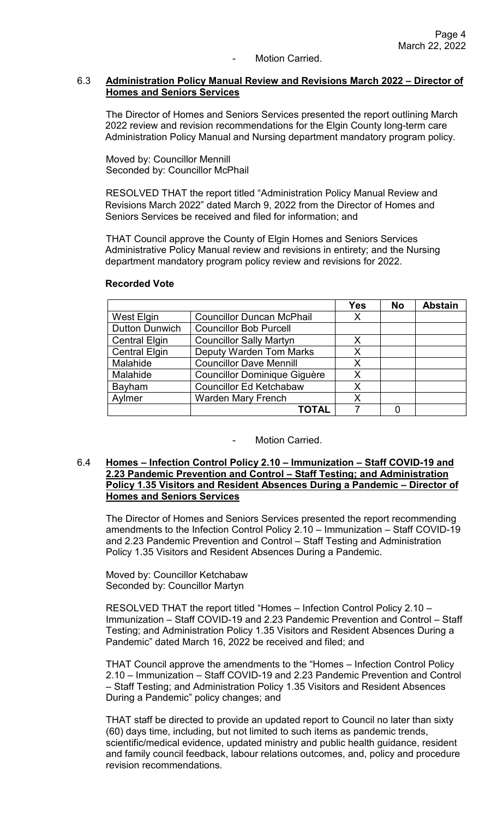## Motion Carried.

### 6.3 **Administration Policy Manual Review and Revisions March 2022 – Director of Homes and Seniors Services**

The Director of Homes and Seniors Services presented the report outlining March 2022 review and revision recommendations for the Elgin County long-term care Administration Policy Manual and Nursing department mandatory program policy.

Moved by: Councillor Mennill Seconded by: Councillor McPhail

RESOLVED THAT the report titled "Administration Policy Manual Review and Revisions March 2022" dated March 9, 2022 from the Director of Homes and Seniors Services be received and filed for information; and

THAT Council approve the County of Elgin Homes and Seniors Services Administrative Policy Manual review and revisions in entirety; and the Nursing department mandatory program policy review and revisions for 2022.

|                       |                                     | <b>Yes</b> | <b>No</b> | <b>Abstain</b> |
|-----------------------|-------------------------------------|------------|-----------|----------------|
| West Elgin            | <b>Councillor Duncan McPhail</b>    | Х          |           |                |
| <b>Dutton Dunwich</b> | <b>Councillor Bob Purcell</b>       |            |           |                |
| <b>Central Elgin</b>  | <b>Councillor Sally Martyn</b>      | х          |           |                |
| <b>Central Elgin</b>  | <b>Deputy Warden Tom Marks</b>      | X          |           |                |
| Malahide              | <b>Councillor Dave Mennill</b>      | X          |           |                |
| Malahide              | <b>Councillor Dominique Giguère</b> | X          |           |                |
| Bayham                | <b>Councillor Ed Ketchabaw</b>      | X          |           |                |
| Aylmer                | <b>Warden Mary French</b>           | X          |           |                |
|                       | TOTAL                               |            |           |                |

#### **Recorded Vote**

#### Motion Carried.

#### 6.4 **Homes – Infection Control Policy 2.10 – Immunization – Staff COVID-19 and 2.23 Pandemic Prevention and Control – Staff Testing; and Administration Policy 1.35 Visitors and Resident Absences During a Pandemic – Director of Homes and Seniors Services**

The Director of Homes and Seniors Services presented the report recommending amendments to the Infection Control Policy 2.10 – Immunization – Staff COVID-19 and 2.23 Pandemic Prevention and Control – Staff Testing and Administration Policy 1.35 Visitors and Resident Absences During a Pandemic.

Moved by: Councillor Ketchabaw Seconded by: Councillor Martyn

RESOLVED THAT the report titled "Homes – Infection Control Policy 2.10 – Immunization – Staff COVID-19 and 2.23 Pandemic Prevention and Control – Staff Testing; and Administration Policy 1.35 Visitors and Resident Absences During a Pandemic" dated March 16, 2022 be received and filed; and

THAT Council approve the amendments to the "Homes – Infection Control Policy 2.10 – Immunization – Staff COVID-19 and 2.23 Pandemic Prevention and Control – Staff Testing; and Administration Policy 1.35 Visitors and Resident Absences During a Pandemic" policy changes; and

THAT staff be directed to provide an updated report to Council no later than sixty (60) days time, including, but not limited to such items as pandemic trends, scientific/medical evidence, updated ministry and public health guidance, resident and family council feedback, labour relations outcomes, and, policy and procedure revision recommendations.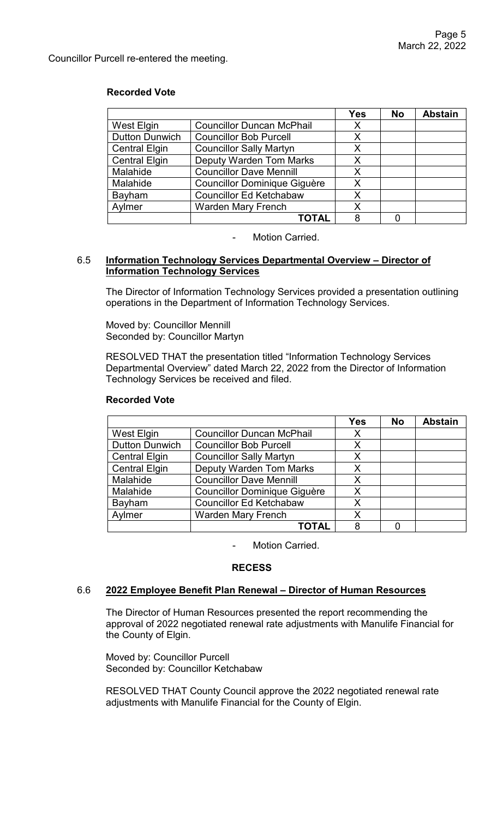Councillor Purcell re-entered the meeting.

## **Recorded Vote**

|                       |                                     | <b>Yes</b> | <b>No</b> | <b>Abstain</b> |
|-----------------------|-------------------------------------|------------|-----------|----------------|
| West Elgin            | <b>Councillor Duncan McPhail</b>    | X          |           |                |
| <b>Dutton Dunwich</b> | <b>Councillor Bob Purcell</b>       | X          |           |                |
| <b>Central Elgin</b>  | <b>Councillor Sally Martyn</b>      | Х          |           |                |
| <b>Central Elgin</b>  | <b>Deputy Warden Tom Marks</b>      | X          |           |                |
| Malahide              | <b>Councillor Dave Mennill</b>      | X          |           |                |
| Malahide              | <b>Councillor Dominique Giguère</b> | X          |           |                |
| Bayham                | <b>Councillor Ed Ketchabaw</b>      | X          |           |                |
| Aylmer                | <b>Warden Mary French</b>           | X.         |           |                |
|                       | ΤΟΤΑL                               |            |           |                |

Motion Carried.

## 6.5 **Information Technology Services Departmental Overview – Director of Information Technology Services**

The Director of Information Technology Services provided a presentation outlining operations in the Department of Information Technology Services.

Moved by: Councillor Mennill Seconded by: Councillor Martyn

RESOLVED THAT the presentation titled "Information Technology Services Departmental Overview" dated March 22, 2022 from the Director of Information Technology Services be received and filed.

## **Recorded Vote**

|                       |                                     | <b>Yes</b> | <b>No</b> | <b>Abstain</b> |
|-----------------------|-------------------------------------|------------|-----------|----------------|
| West Elgin            | <b>Councillor Duncan McPhail</b>    | X          |           |                |
| <b>Dutton Dunwich</b> | <b>Councillor Bob Purcell</b>       | X          |           |                |
| <b>Central Elgin</b>  | <b>Councillor Sally Martyn</b>      | X          |           |                |
| <b>Central Elgin</b>  | <b>Deputy Warden Tom Marks</b>      | X          |           |                |
| Malahide              | <b>Councillor Dave Mennill</b>      | X          |           |                |
| Malahide              | <b>Councillor Dominique Giguère</b> | X          |           |                |
| Bayham                | <b>Councillor Ed Ketchabaw</b>      | X          |           |                |
| Aylmer                | <b>Warden Mary French</b>           | X          |           |                |
|                       | <b>TOTAL</b>                        | 8          |           |                |

Motion Carried.

# **RECESS**

#### 6.6 **2022 Employee Benefit Plan Renewal – Director of Human Resources**

The Director of Human Resources presented the report recommending the approval of 2022 negotiated renewal rate adjustments with Manulife Financial for the County of Elgin.

Moved by: Councillor Purcell Seconded by: Councillor Ketchabaw

RESOLVED THAT County Council approve the 2022 negotiated renewal rate adjustments with Manulife Financial for the County of Elgin.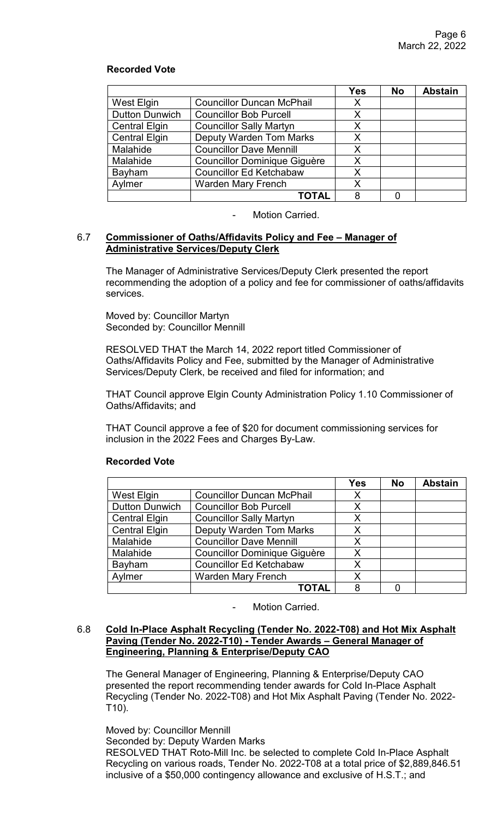## **Recorded Vote**

|                       |                                     | <b>Yes</b> | <b>No</b> | <b>Abstain</b> |
|-----------------------|-------------------------------------|------------|-----------|----------------|
| West Elgin            | <b>Councillor Duncan McPhail</b>    | X          |           |                |
| <b>Dutton Dunwich</b> | <b>Councillor Bob Purcell</b>       | X          |           |                |
| <b>Central Elgin</b>  | <b>Councillor Sally Martyn</b>      | X          |           |                |
| <b>Central Elgin</b>  | <b>Deputy Warden Tom Marks</b>      | Х          |           |                |
| Malahide              | <b>Councillor Dave Mennill</b>      | X          |           |                |
| Malahide              | <b>Councillor Dominique Giguère</b> | X          |           |                |
| Bayham                | <b>Councillor Ed Ketchabaw</b>      | X          |           |                |
| Aylmer                | <b>Warden Mary French</b>           | X          |           |                |
|                       | <b>TOTAL</b>                        | 8          |           |                |

Motion Carried.

#### 6.7 **Commissioner of Oaths/Affidavits Policy and Fee – Manager of Administrative Services/Deputy Clerk**

The Manager of Administrative Services/Deputy Clerk presented the report recommending the adoption of a policy and fee for commissioner of oaths/affidavits services.

Moved by: Councillor Martyn Seconded by: Councillor Mennill

RESOLVED THAT the March 14, 2022 report titled Commissioner of Oaths/Affidavits Policy and Fee, submitted by the Manager of Administrative Services/Deputy Clerk, be received and filed for information; and

THAT Council approve Elgin County Administration Policy 1.10 Commissioner of Oaths/Affidavits; and

 THAT Council approve a fee of \$20 for document commissioning services for inclusion in the 2022 Fees and Charges By-Law.

|                       |                                     | <b>Yes</b> | <b>No</b> | <b>Abstain</b> |
|-----------------------|-------------------------------------|------------|-----------|----------------|
| West Elgin            | <b>Councillor Duncan McPhail</b>    | X          |           |                |
| <b>Dutton Dunwich</b> | <b>Councillor Bob Purcell</b>       | Χ          |           |                |
| <b>Central Elgin</b>  | <b>Councillor Sally Martyn</b>      | X          |           |                |
| <b>Central Elgin</b>  | <b>Deputy Warden Tom Marks</b>      | X          |           |                |
| Malahide              | <b>Councillor Dave Mennill</b>      | X          |           |                |
| Malahide              | <b>Councillor Dominique Giguère</b> | Χ          |           |                |
| Bayham                | <b>Councillor Ed Ketchabaw</b>      | Χ          |           |                |
| Aylmer                | <b>Warden Mary French</b>           | X          |           |                |
|                       | TOTAL                               | 8          |           |                |

# **Recorded Vote**

- Motion Carried.

## 6.8 **Cold In-Place Asphalt Recycling (Tender No. 2022-T08) and Hot Mix Asphalt Paving (Tender No. 2022-T10) - Tender Awards – General Manager of Engineering, Planning & Enterprise/Deputy CAO**

The General Manager of Engineering, Planning & Enterprise/Deputy CAO presented the report recommending tender awards for Cold In-Place Asphalt Recycling (Tender No. 2022-T08) and Hot Mix Asphalt Paving (Tender No. 2022- T10).

Moved by: Councillor Mennill Seconded by: Deputy Warden Marks RESOLVED THAT Roto-Mill Inc. be selected to complete Cold In-Place Asphalt Recycling on various roads, Tender No. 2022-T08 at a total price of \$2,889,846.51 inclusive of a \$50,000 contingency allowance and exclusive of H.S.T.; and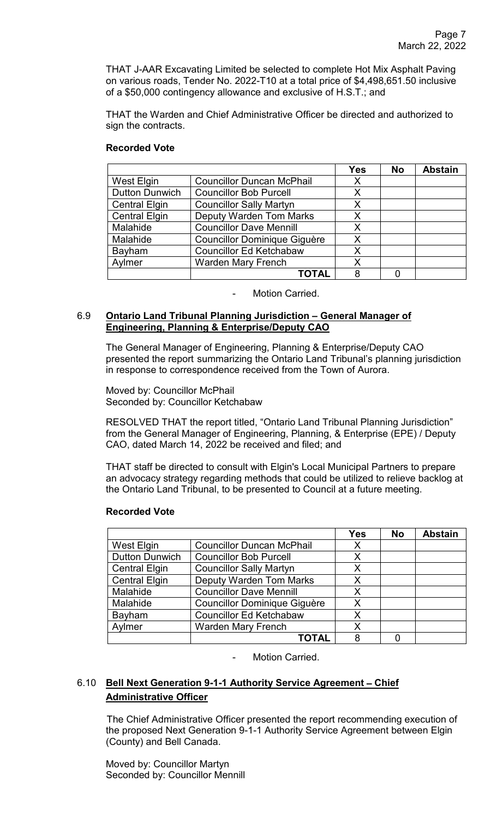THAT J-AAR Excavating Limited be selected to complete Hot Mix Asphalt Paving on various roads, Tender No. 2022-T10 at a total price of \$4,498,651.50 inclusive of a \$50,000 contingency allowance and exclusive of H.S.T.; and

THAT the Warden and Chief Administrative Officer be directed and authorized to sign the contracts.

## **Recorded Vote**

|                       |                                     | <b>Yes</b> | <b>No</b> | <b>Abstain</b> |
|-----------------------|-------------------------------------|------------|-----------|----------------|
| West Elgin            | <b>Councillor Duncan McPhail</b>    | X          |           |                |
| <b>Dutton Dunwich</b> | <b>Councillor Bob Purcell</b>       | X          |           |                |
| <b>Central Elgin</b>  | <b>Councillor Sally Martyn</b>      | X          |           |                |
| <b>Central Elgin</b>  | <b>Deputy Warden Tom Marks</b>      | X          |           |                |
| Malahide              | <b>Councillor Dave Mennill</b>      | X          |           |                |
| Malahide              | <b>Councillor Dominique Giguère</b> | Χ          |           |                |
| Bayham                | <b>Councillor Ed Ketchabaw</b>      | X          |           |                |
| Aylmer                | <b>Warden Mary French</b>           | X          |           |                |
|                       | TOTAL                               | 8          |           |                |

Motion Carried.

## 6.9 **Ontario Land Tribunal Planning Jurisdiction – General Manager of Engineering, Planning & Enterprise/Deputy CAO**

The General Manager of Engineering, Planning & Enterprise/Deputy CAO presented the report summarizing the Ontario Land Tribunal's planning jurisdiction in response to correspondence received from the Town of Aurora.

Moved by: Councillor McPhail Seconded by: Councillor Ketchabaw

RESOLVED THAT the report titled, "Ontario Land Tribunal Planning Jurisdiction" from the General Manager of Engineering, Planning, & Enterprise (EPE) / Deputy CAO, dated March 14, 2022 be received and filed; and

THAT staff be directed to consult with Elgin's Local Municipal Partners to prepare an advocacy strategy regarding methods that could be utilized to relieve backlog at the Ontario Land Tribunal, to be presented to Council at a future meeting.

|                       |                                     | <b>Yes</b> | <b>No</b> | <b>Abstain</b> |
|-----------------------|-------------------------------------|------------|-----------|----------------|
| West Elgin            | <b>Councillor Duncan McPhail</b>    | X          |           |                |
| <b>Dutton Dunwich</b> | <b>Councillor Bob Purcell</b>       | X          |           |                |
| <b>Central Elgin</b>  | <b>Councillor Sally Martyn</b>      | Χ          |           |                |
| <b>Central Elgin</b>  | <b>Deputy Warden Tom Marks</b>      | X          |           |                |
| Malahide              | <b>Councillor Dave Mennill</b>      | X          |           |                |
| Malahide              | <b>Councillor Dominique Giguère</b> | Χ          |           |                |
| Bayham                | <b>Councillor Ed Ketchabaw</b>      | Χ          |           |                |
| Aylmer                | <b>Warden Mary French</b>           | Χ          |           |                |
|                       | <b>TOTAL</b>                        | 8          |           |                |

# **Recorded Vote**

Motion Carried.

# 6.10 **Bell Next Generation 9-1-1 Authority Service Agreement** – **Chief Administrative Officer**

The Chief Administrative Officer presented the report recommending execution of the proposed Next Generation 9-1-1 Authority Service Agreement between Elgin (County) and Bell Canada.

Moved by: Councillor Martyn Seconded by: Councillor Mennill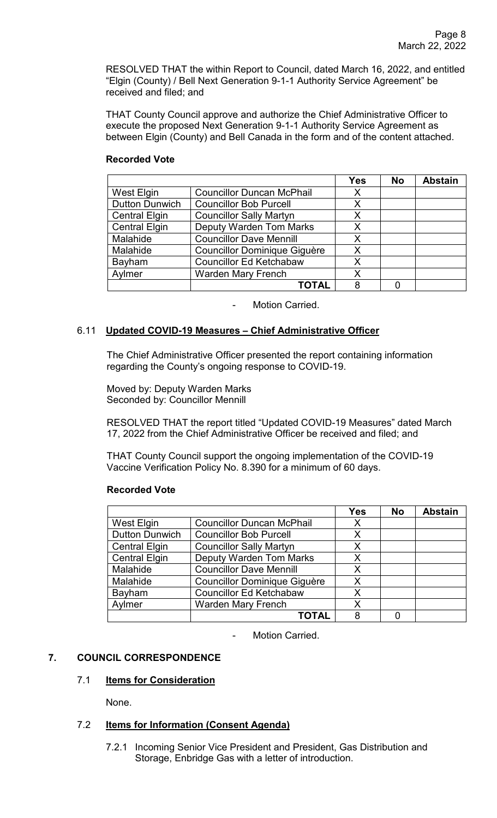RESOLVED THAT the within Report to Council, dated March 16, 2022, and entitled "Elgin (County) / Bell Next Generation 9-1-1 Authority Service Agreement" be received and filed; and

THAT County Council approve and authorize the Chief Administrative Officer to execute the proposed Next Generation 9-1-1 Authority Service Agreement as between Elgin (County) and Bell Canada in the form and of the content attached.

# **Recorded Vote**

|                       |                                     | <b>Yes</b> | <b>No</b> | <b>Abstain</b> |
|-----------------------|-------------------------------------|------------|-----------|----------------|
| West Elgin            | <b>Councillor Duncan McPhail</b>    | Χ          |           |                |
| <b>Dutton Dunwich</b> | <b>Councillor Bob Purcell</b>       | X          |           |                |
| <b>Central Elgin</b>  | <b>Councillor Sally Martyn</b>      | X          |           |                |
| <b>Central Elgin</b>  | <b>Deputy Warden Tom Marks</b>      | X          |           |                |
| Malahide              | <b>Councillor Dave Mennill</b>      | X.         |           |                |
| Malahide              | <b>Councillor Dominique Giguère</b> | X          |           |                |
| Bayham                | <b>Councillor Ed Ketchabaw</b>      | x          |           |                |
| Aylmer                | <b>Warden Mary French</b>           | X          |           |                |
|                       | <b>TOTAL</b>                        | 8          |           |                |

Motion Carried.

## 6.11 **Updated COVID-19 Measures** – **Chief Administrative Officer**

The Chief Administrative Officer presented the report containing information regarding the County's ongoing response to COVID-19.

Moved by: Deputy Warden Marks Seconded by: Councillor Mennill

RESOLVED THAT the report titled "Updated COVID-19 Measures" dated March 17, 2022 from the Chief Administrative Officer be received and filed; and

THAT County Council support the ongoing implementation of the COVID-19 Vaccine Verification Policy No. 8.390 for a minimum of 60 days.

#### **Recorded Vote**

|                       |                                     | <b>Yes</b> | <b>No</b> | <b>Abstain</b> |
|-----------------------|-------------------------------------|------------|-----------|----------------|
| West Elgin            | <b>Councillor Duncan McPhail</b>    | X          |           |                |
| <b>Dutton Dunwich</b> | <b>Councillor Bob Purcell</b>       | X          |           |                |
| <b>Central Elgin</b>  | <b>Councillor Sally Martyn</b>      | X          |           |                |
| <b>Central Elgin</b>  | <b>Deputy Warden Tom Marks</b>      | x          |           |                |
| Malahide              | <b>Councillor Dave Mennill</b>      | X          |           |                |
| Malahide              | <b>Councillor Dominique Giguère</b> | Χ          |           |                |
| Bayham                | <b>Councillor Ed Ketchabaw</b>      | x          |           |                |
| Aylmer                | <b>Warden Mary French</b>           | Χ          |           |                |
|                       | <b>TOTAL</b>                        | 8          |           |                |

Motion Carried.

# **7. COUNCIL CORRESPONDENCE**

# 7.1 **Items for Consideration**

None.

# 7.2 **Items for Information (Consent Agenda)**

7.2.1 Incoming Senior Vice President and President, Gas Distribution and Storage, Enbridge Gas with a letter of introduction.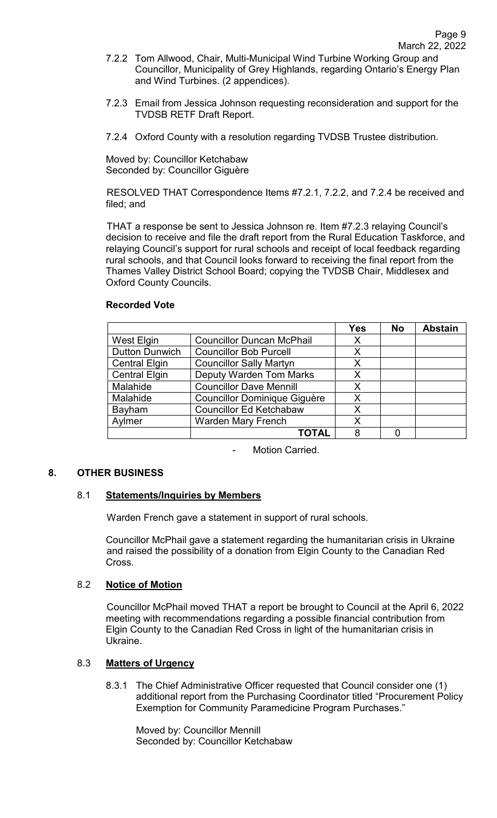- 7.2.2 Tom Allwood, Chair, Multi-Municipal Wind Turbine Working Group and Councillor, Municipality of Grey Highlands, regarding Ontario's Energy Plan and Wind Turbines. (2 appendices).
- 7.2.3 Email from Jessica Johnson requesting reconsideration and support for the TVDSB RETF Draft Report.
- 7.2.4 Oxford County with a resolution regarding TVDSB Trustee distribution.

Moved by: Councillor Ketchabaw Seconded by: Councillor Giguère

RESOLVED THAT Correspondence Items #7.2.1, 7.2.2, and 7.2.4 be received and filed; and

THAT a response be sent to Jessica Johnson re. Item #7.2.3 relaying Council's decision to receive and file the draft report from the Rural Education Taskforce, and relaying Council's support for rural schools and receipt of local feedback regarding rural schools, and that Council looks forward to receiving the final report from the Thames Valley District School Board; copying the TVDSB Chair, Middlesex and Oxford County Councils.

#### **Recorded Vote**

|                       |                                     | <b>Yes</b> | <b>No</b> | <b>Abstain</b> |
|-----------------------|-------------------------------------|------------|-----------|----------------|
| <b>West Elgin</b>     | <b>Councillor Duncan McPhail</b>    | X          |           |                |
| <b>Dutton Dunwich</b> | <b>Councillor Bob Purcell</b>       | X          |           |                |
| <b>Central Elgin</b>  | <b>Councillor Sally Martyn</b>      | X          |           |                |
| <b>Central Elgin</b>  | <b>Deputy Warden Tom Marks</b>      | X          |           |                |
| Malahide              | <b>Councillor Dave Mennill</b>      | X          |           |                |
| Malahide              | <b>Councillor Dominique Giguère</b> | Χ          |           |                |
| Bayham                | <b>Councillor Ed Ketchabaw</b>      | x          |           |                |
| Aylmer                | <b>Warden Mary French</b>           | X          |           |                |
|                       | <b>TOTAL</b>                        | 8          |           |                |

Motion Carried.

#### **8. OTHER BUSINESS**

#### 8.1 **Statements/Inquiries by Members**

Warden French gave a statement in support of rural schools.

Councillor McPhail gave a statement regarding the humanitarian crisis in Ukraine and raised the possibility of a donation from Elgin County to the Canadian Red Cross.

#### 8.2 **Notice of Motion**

Councillor McPhail moved THAT a report be brought to Council at the April 6, 2022 meeting with recommendations regarding a possible financial contribution from Elgin County to the Canadian Red Cross in light of the humanitarian crisis in Ukraine.

# 8.3 **Matters of Urgency**

8.3.1 The Chief Administrative Officer requested that Council consider one (1) additional report from the Purchasing Coordinator titled "Procurement Policy Exemption for Community Paramedicine Program Purchases."

 Moved by: Councillor Mennill Seconded by: Councillor Ketchabaw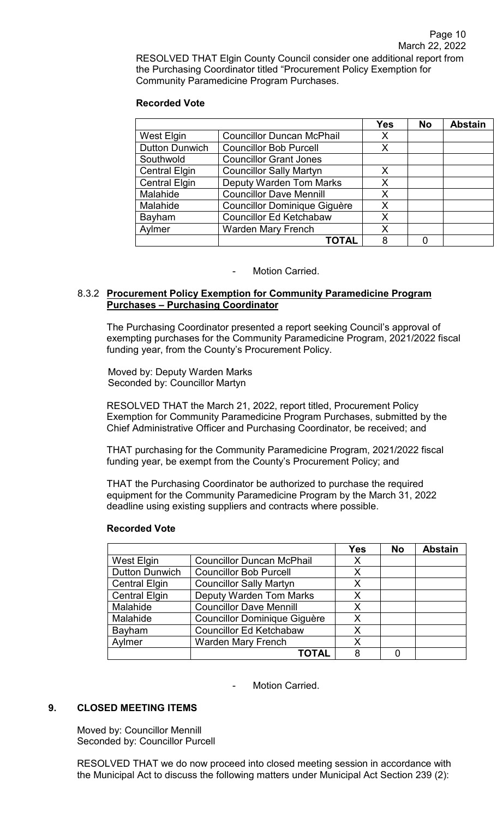RESOLVED THAT Elgin County Council consider one additional report from the Purchasing Coordinator titled "Procurement Policy Exemption for Community Paramedicine Program Purchases.

## **Recorded Vote**

|                       |                                     | <b>Yes</b> | <b>No</b> | <b>Abstain</b> |
|-----------------------|-------------------------------------|------------|-----------|----------------|
| West Elgin            | <b>Councillor Duncan McPhail</b>    | Х          |           |                |
| <b>Dutton Dunwich</b> | <b>Councillor Bob Purcell</b>       | X          |           |                |
| Southwold             | <b>Councillor Grant Jones</b>       |            |           |                |
| <b>Central Elgin</b>  | <b>Councillor Sally Martyn</b>      | X          |           |                |
| <b>Central Elgin</b>  | <b>Deputy Warden Tom Marks</b>      | Χ          |           |                |
| Malahide              | <b>Councillor Dave Mennill</b>      | Χ          |           |                |
| Malahide              | <b>Councillor Dominique Giguère</b> | X          |           |                |
| Bayham                | <b>Councillor Ed Ketchabaw</b>      | Χ          |           |                |
| Aylmer                | <b>Warden Mary French</b>           | Χ          |           |                |
|                       | <b>TOTAL</b>                        | 8          |           |                |

## Motion Carried.

## 8.3.2 **Procurement Policy Exemption for Community Paramedicine Program Purchases – Purchasing Coordinator**

The Purchasing Coordinator presented a report seeking Council's approval of exempting purchases for the Community Paramedicine Program, 2021/2022 fiscal funding year, from the County's Procurement Policy.

 Moved by: Deputy Warden Marks Seconded by: Councillor Martyn

RESOLVED THAT the March 21, 2022, report titled, Procurement Policy Exemption for Community Paramedicine Program Purchases, submitted by the Chief Administrative Officer and Purchasing Coordinator, be received; and

THAT purchasing for the Community Paramedicine Program, 2021/2022 fiscal funding year, be exempt from the County's Procurement Policy; and

THAT the Purchasing Coordinator be authorized to purchase the required equipment for the Community Paramedicine Program by the March 31, 2022 deadline using existing suppliers and contracts where possible.

|                       |                                     | Yes | <b>No</b> | <b>Abstain</b> |
|-----------------------|-------------------------------------|-----|-----------|----------------|
| West Elgin            | <b>Councillor Duncan McPhail</b>    | X   |           |                |
| <b>Dutton Dunwich</b> | <b>Councillor Bob Purcell</b>       | X   |           |                |
| <b>Central Elgin</b>  | <b>Councillor Sally Martyn</b>      | X   |           |                |
| <b>Central Elgin</b>  | <b>Deputy Warden Tom Marks</b>      | X   |           |                |
| Malahide              | <b>Councillor Dave Mennill</b>      | X   |           |                |
| Malahide              | <b>Councillor Dominique Giguère</b> | X   |           |                |
| Bayham                | <b>Councillor Ed Ketchabaw</b>      | X   |           |                |
| Aylmer                | <b>Warden Mary French</b>           | x   |           |                |
|                       | ΤΟΤΑL                               | 8   |           |                |

#### **Recorded Vote**

Motion Carried.

# **9. CLOSED MEETING ITEMS**

Moved by: Councillor Mennill Seconded by: Councillor Purcell

RESOLVED THAT we do now proceed into closed meeting session in accordance with the Municipal Act to discuss the following matters under Municipal Act Section 239 (2):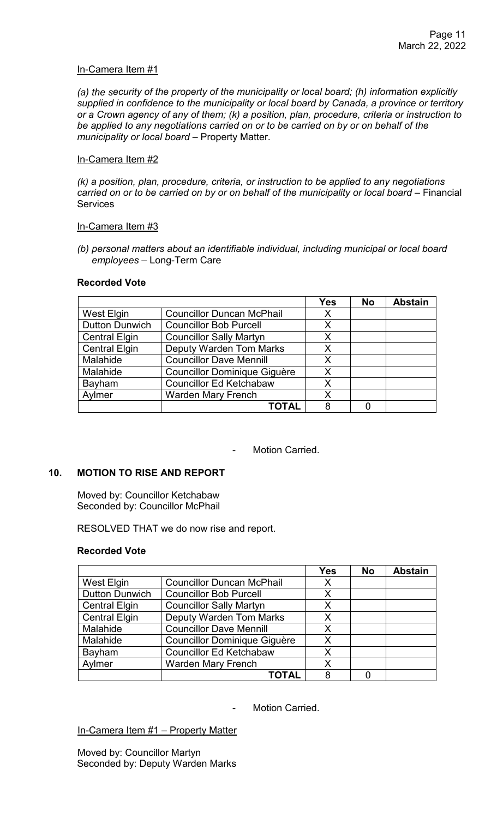### In-Camera Item #1

*(a) the security of the property of the municipality or local board; (h) information explicitly supplied in confidence to the municipality or local board by Canada, a province or territory or a Crown agency of any of them; (k) a position, plan, procedure, criteria or instruction to be applied to any negotiations carried on or to be carried on by or on behalf of the municipality or local board* – Property Matter.

## In-Camera Item #2

*(k) a position, plan, procedure, criteria, or instruction to be applied to any negotiations carried on or to be carried on by or on behalf of the municipality or local board* – Financial **Services** 

#### In-Camera Item #3

*(b) personal matters about an identifiable individual, including municipal or local board employees* – Long-Term Care

#### **Recorded Vote**

|                       |                                     | <b>Yes</b> | <b>No</b> | <b>Abstain</b> |
|-----------------------|-------------------------------------|------------|-----------|----------------|
| West Elgin            | <b>Councillor Duncan McPhail</b>    | X          |           |                |
| <b>Dutton Dunwich</b> | <b>Councillor Bob Purcell</b>       | X          |           |                |
| <b>Central Elgin</b>  | <b>Councillor Sally Martyn</b>      | X          |           |                |
| <b>Central Elgin</b>  | <b>Deputy Warden Tom Marks</b>      | X          |           |                |
| Malahide              | <b>Councillor Dave Mennill</b>      | X          |           |                |
| Malahide              | <b>Councillor Dominique Giguère</b> | X          |           |                |
| Bayham                | <b>Councillor Ed Ketchabaw</b>      | X          |           |                |
| Aylmer                | <b>Warden Mary French</b>           | X          |           |                |
|                       | TOTAL                               | 8          |           |                |

- Motion Carried.

# **10. MOTION TO RISE AND REPORT**

Moved by: Councillor Ketchabaw Seconded by: Councillor McPhail

RESOLVED THAT we do now rise and report.

#### **Recorded Vote**

|                       |                                     | <b>Yes</b> | <b>No</b> | <b>Abstain</b> |
|-----------------------|-------------------------------------|------------|-----------|----------------|
| West Elgin            | <b>Councillor Duncan McPhail</b>    | X          |           |                |
| <b>Dutton Dunwich</b> | <b>Councillor Bob Purcell</b>       | X          |           |                |
| <b>Central Elgin</b>  | <b>Councillor Sally Martyn</b>      | Χ          |           |                |
| <b>Central Elgin</b>  | <b>Deputy Warden Tom Marks</b>      | Х          |           |                |
| Malahide              | <b>Councillor Dave Mennill</b>      | X          |           |                |
| Malahide              | <b>Councillor Dominique Giguère</b> | X          |           |                |
| Bayham                | <b>Councillor Ed Ketchabaw</b>      | Χ          |           |                |
| Aylmer                | <b>Warden Mary French</b>           | Χ          |           |                |
|                       | <b>TOTAL</b>                        | 8          |           |                |

Motion Carried.

In-Camera Item #1 – Property Matter

Moved by: Councillor Martyn Seconded by: Deputy Warden Marks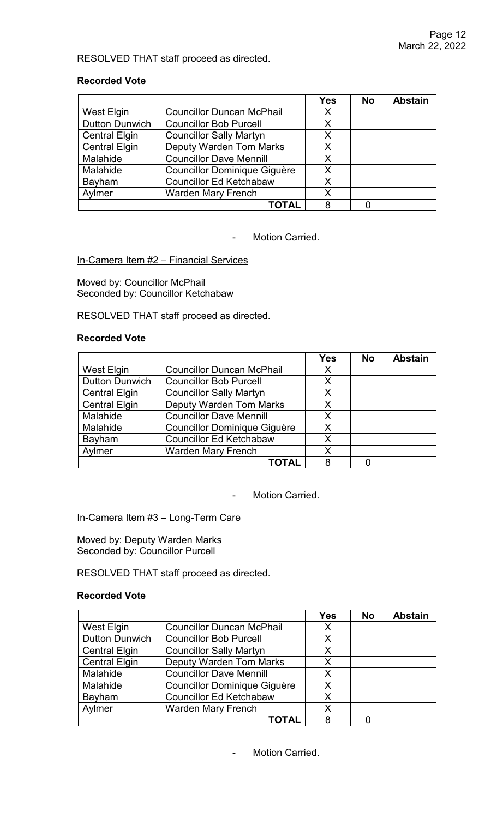## RESOLVED THAT staff proceed as directed.

### **Recorded Vote**

|                       |                                     | <b>Yes</b> | <b>No</b> | <b>Abstain</b> |
|-----------------------|-------------------------------------|------------|-----------|----------------|
| West Elgin            | <b>Councillor Duncan McPhail</b>    | X          |           |                |
| <b>Dutton Dunwich</b> | <b>Councillor Bob Purcell</b>       | X          |           |                |
| <b>Central Elgin</b>  | <b>Councillor Sally Martyn</b>      | Х          |           |                |
| <b>Central Elgin</b>  | <b>Deputy Warden Tom Marks</b>      | X          |           |                |
| Malahide              | <b>Councillor Dave Mennill</b>      | X          |           |                |
| Malahide              | <b>Councillor Dominique Giguère</b> | X          |           |                |
| Bayham                | <b>Councillor Ed Ketchabaw</b>      | Х          |           |                |
| Aylmer                | <b>Warden Mary French</b>           | X          |           |                |
|                       | <b>TOTAL</b>                        | 8          |           |                |

- Motion Carried.

## In-Camera Item #2 - Financial Services

Moved by: Councillor McPhail Seconded by: Councillor Ketchabaw

RESOLVED THAT staff proceed as directed.

#### **Recorded Vote**

|                       |                                     | <b>Yes</b> | <b>No</b> | <b>Abstain</b> |
|-----------------------|-------------------------------------|------------|-----------|----------------|
| West Elgin            | <b>Councillor Duncan McPhail</b>    | X          |           |                |
| <b>Dutton Dunwich</b> | <b>Councillor Bob Purcell</b>       | X          |           |                |
| <b>Central Elgin</b>  | <b>Councillor Sally Martyn</b>      | X          |           |                |
| <b>Central Elgin</b>  | <b>Deputy Warden Tom Marks</b>      | X          |           |                |
| Malahide              | <b>Councillor Dave Mennill</b>      | X          |           |                |
| Malahide              | <b>Councillor Dominique Giguère</b> | Χ          |           |                |
| Bayham                | <b>Councillor Ed Ketchabaw</b>      | X          |           |                |
| Aylmer                | <b>Warden Mary French</b>           | X          |           |                |
|                       | <b>TOTAL</b>                        | 8          |           |                |

- Motion Carried.

In-Camera Item #3 - Long-Term Care

Moved by: Deputy Warden Marks Seconded by: Councillor Purcell

RESOLVED THAT staff proceed as directed.

#### **Recorded Vote**

|                       |                                     | <b>Yes</b> | <b>No</b> | <b>Abstain</b> |
|-----------------------|-------------------------------------|------------|-----------|----------------|
| West Elgin            | <b>Councillor Duncan McPhail</b>    | X          |           |                |
| <b>Dutton Dunwich</b> | <b>Councillor Bob Purcell</b>       | X          |           |                |
| <b>Central Elgin</b>  | <b>Councillor Sally Martyn</b>      | X          |           |                |
| <b>Central Elgin</b>  | <b>Deputy Warden Tom Marks</b>      | X          |           |                |
| Malahide              | <b>Councillor Dave Mennill</b>      | X          |           |                |
| Malahide              | <b>Councillor Dominique Giguère</b> | Χ          |           |                |
| Bayham                | <b>Councillor Ed Ketchabaw</b>      | X          |           |                |
| Aylmer                | <b>Warden Mary French</b>           | X          |           |                |
|                       | TOTAL                               | 8          |           |                |

Motion Carried.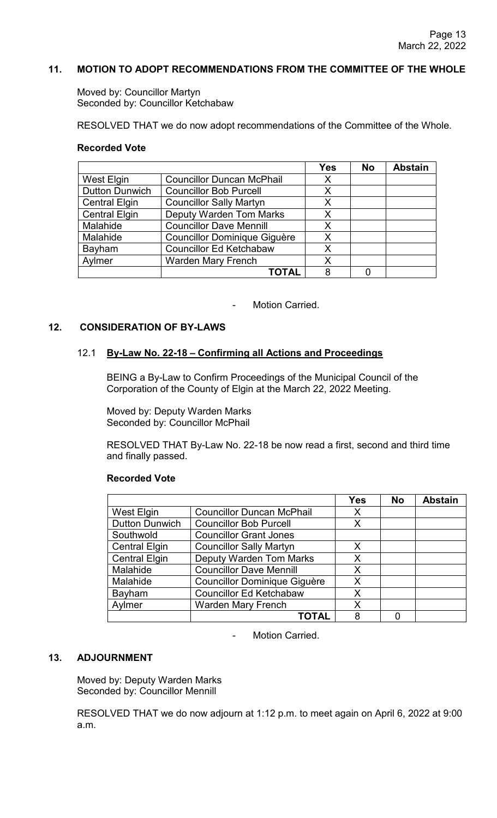## **11. MOTION TO ADOPT RECOMMENDATIONS FROM THE COMMITTEE OF THE WHOLE**

Moved by: Councillor Martyn Seconded by: Councillor Ketchabaw

RESOLVED THAT we do now adopt recommendations of the Committee of the Whole.

#### **Recorded Vote**

|                       |                                     | <b>Yes</b> | <b>No</b> | <b>Abstain</b> |
|-----------------------|-------------------------------------|------------|-----------|----------------|
| <b>West Elgin</b>     | <b>Councillor Duncan McPhail</b>    | X          |           |                |
| <b>Dutton Dunwich</b> | <b>Councillor Bob Purcell</b>       | X          |           |                |
| <b>Central Elgin</b>  | <b>Councillor Sally Martyn</b>      | X          |           |                |
| <b>Central Elgin</b>  | <b>Deputy Warden Tom Marks</b>      | Х          |           |                |
| Malahide              | <b>Councillor Dave Mennill</b>      | X          |           |                |
| Malahide              | <b>Councillor Dominique Giguère</b> | Χ          |           |                |
| Bayham                | <b>Councillor Ed Ketchabaw</b>      | X          |           |                |
| Avlmer                | <b>Warden Mary French</b>           | X          |           |                |
|                       | <b>TOTAL</b>                        | 8          |           |                |

Motion Carried.

#### **12. CONSIDERATION OF BY-LAWS**

#### 12.1 **By-Law No. 22-18** – **Confirming all Actions and Proceedings**

BEING a By-Law to Confirm Proceedings of the Municipal Council of the Corporation of the County of Elgin at the March 22, 2022 Meeting.

Moved by: Deputy Warden Marks Seconded by: Councillor McPhail

RESOLVED THAT By-Law No. 22-18 be now read a first, second and third time and finally passed.

#### **Recorded Vote**

|                       |                                     | <b>Yes</b> | <b>No</b> | <b>Abstain</b> |
|-----------------------|-------------------------------------|------------|-----------|----------------|
| West Elgin            | <b>Councillor Duncan McPhail</b>    | X          |           |                |
| <b>Dutton Dunwich</b> | <b>Councillor Bob Purcell</b>       | x          |           |                |
| Southwold             | <b>Councillor Grant Jones</b>       |            |           |                |
| <b>Central Elgin</b>  | <b>Councillor Sally Martyn</b>      | X          |           |                |
| <b>Central Elgin</b>  | <b>Deputy Warden Tom Marks</b>      | X          |           |                |
| Malahide              | <b>Councillor Dave Mennill</b>      | X          |           |                |
| Malahide              | <b>Councillor Dominique Giguère</b> | X          |           |                |
| Bayham                | <b>Councillor Ed Ketchabaw</b>      | X          |           |                |
| Aylmer                | <b>Warden Mary French</b>           | X          |           |                |
|                       | <b>TOTAL</b>                        | 8          |           |                |

Motion Carried.

# **13. ADJOURNMENT**

Moved by: Deputy Warden Marks Seconded by: Councillor Mennill

RESOLVED THAT we do now adjourn at 1:12 p.m. to meet again on April 6, 2022 at 9:00 a.m.